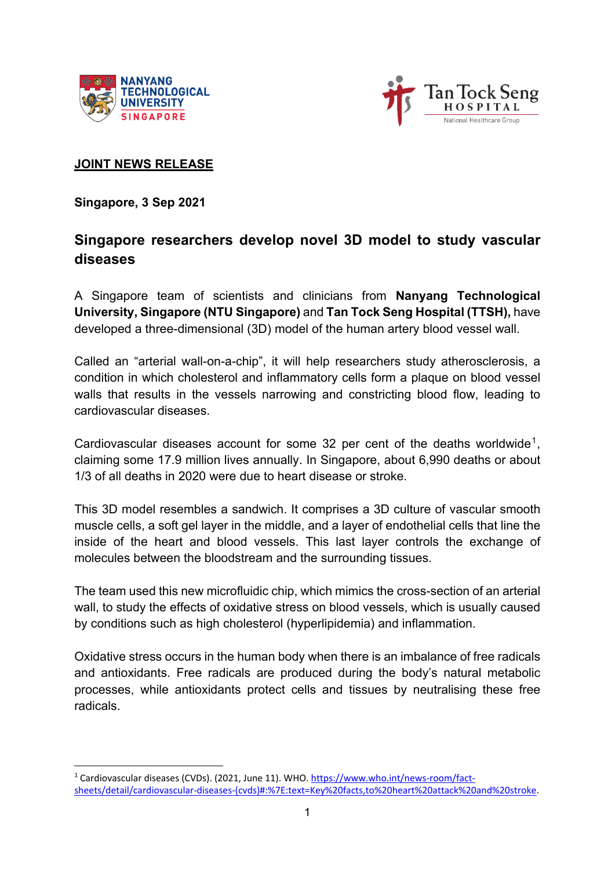



#### **JOINT NEWS RELEASE**

**Singapore, 3 Sep 2021** 

# **Singapore researchers develop novel 3D model to study vascular diseases**

A Singapore team of scientists and clinicians from **Nanyang Technological University, Singapore (NTU Singapore)** and **Tan Tock Seng Hospital (TTSH),** have developed a three-dimensional (3D) model of the human artery blood vessel wall.

Called an "arterial wall-on-a-chip", it will help researchers study atherosclerosis, a condition in which cholesterol and inflammatory cells form a plaque on blood vessel walls that results in the vessels narrowing and constricting blood flow, leading to cardiovascular diseases.

Cardiovascular diseases account for some 32 per cent of the deaths worldwide<sup>1</sup>, claiming some 17.9 million lives annually. In Singapore, about 6,990 deaths or about 1/3 of all deaths in 2020 were due to heart disease or stroke.

This 3D model resembles a sandwich. It comprises a 3D culture of vascular smooth muscle cells, a soft gel layer in the middle, and a layer of endothelial cells that line the inside of the heart and blood vessels. This last layer controls the exchange of molecules between the bloodstream and the surrounding tissues.

The team used this new microfluidic chip, which mimics the cross-section of an arterial wall, to study the effects of oxidative stress on blood vessels, which is usually caused by conditions such as high cholesterol (hyperlipidemia) and inflammation.

Oxidative stress occurs in the human body when there is an imbalance of free radicals and antioxidants. Free radicals are produced during the body's natural metabolic processes, while antioxidants protect cells and tissues by neutralising these free radicals.

<sup>&</sup>lt;sup>1</sup> Cardiovascular diseases (CVDs). (2021, June 11). WHO. https://www.who.int/news-room/factsheets/detail/cardiovascular‐diseases‐(cvds)#:%7E:text=Key%20facts,to%20heart%20attack%20and%20stroke.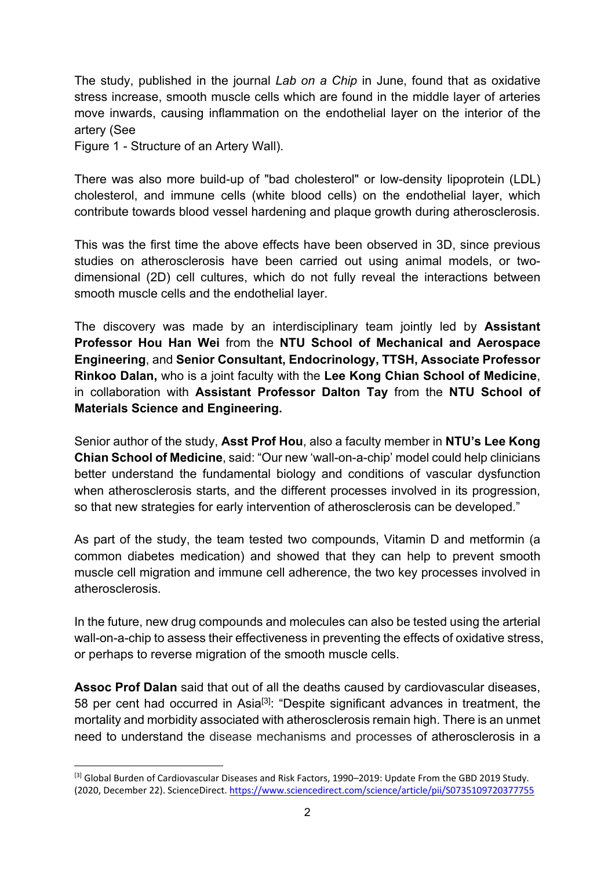The study, published in the journal *Lab on a Chip* in June, found that as oxidative stress increase, smooth muscle cells which are found in the middle layer of arteries move inwards, causing inflammation on the endothelial layer on the interior of the artery (See

Figure 1 - Structure of an Artery Wall).

There was also more build-up of "bad cholesterol" or low-density lipoprotein (LDL) cholesterol, and immune cells (white blood cells) on the endothelial layer, which contribute towards blood vessel hardening and plaque growth during atherosclerosis.

This was the first time the above effects have been observed in 3D, since previous studies on atherosclerosis have been carried out using animal models, or twodimensional (2D) cell cultures, which do not fully reveal the interactions between smooth muscle cells and the endothelial layer.

The discovery was made by an interdisciplinary team jointly led by **Assistant Professor Hou Han Wei** from the **NTU School of Mechanical and Aerospace Engineering**, and **Senior Consultant, Endocrinology, TTSH, Associate Professor Rinkoo Dalan,** who is a joint faculty with the **Lee Kong Chian School of Medicine**, in collaboration with **Assistant Professor Dalton Tay** from the **NTU School of Materials Science and Engineering.** 

Senior author of the study, **Asst Prof Hou**, also a faculty member in **NTU's Lee Kong Chian School of Medicine**, said: "Our new 'wall-on-a-chip' model could help clinicians better understand the fundamental biology and conditions of vascular dysfunction when atherosclerosis starts, and the different processes involved in its progression, so that new strategies for early intervention of atherosclerosis can be developed."

As part of the study, the team tested two compounds, Vitamin D and metformin (a common diabetes medication) and showed that they can help to prevent smooth muscle cell migration and immune cell adherence, the two key processes involved in atherosclerosis.

In the future, new drug compounds and molecules can also be tested using the arterial wall-on-a-chip to assess their effectiveness in preventing the effects of oxidative stress, or perhaps to reverse migration of the smooth muscle cells.

**Assoc Prof Dalan** said that out of all the deaths caused by cardiovascular diseases, 58 per cent had occurred in Asia<sup>[3]</sup>: "Despite significant advances in treatment, the mortality and morbidity associated with atherosclerosis remain high. There is an unmet need to understand the disease mechanisms and processes of atherosclerosis in a

<sup>&</sup>lt;sup>[3]</sup> Global Burden of Cardiovascular Diseases and Risk Factors, 1990–2019: Update From the GBD 2019 Study. (2020, December 22). ScienceDirect. https://www.sciencedirect.com/science/article/pii/S0735109720377755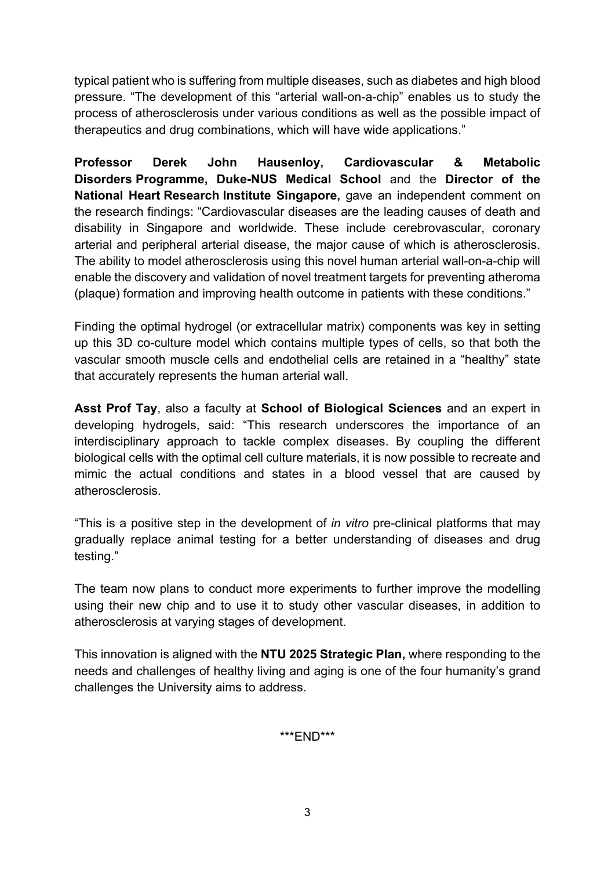typical patient who is suffering from multiple diseases, such as diabetes and high blood pressure. "The development of this "arterial wall-on-a-chip" enables us to study the process of atherosclerosis under various conditions as well as the possible impact of therapeutics and drug combinations, which will have wide applications."

**Professor Derek John Hausenloy, Cardiovascular & Metabolic Disorders Programme, Duke-NUS Medical School** and the **Director of the National Heart Research Institute Singapore,** gave an independent comment on the research findings: "Cardiovascular diseases are the leading causes of death and disability in Singapore and worldwide. These include cerebrovascular, coronary arterial and peripheral arterial disease, the major cause of which is atherosclerosis. The ability to model atherosclerosis using this novel human arterial wall-on-a-chip will enable the discovery and validation of novel treatment targets for preventing atheroma (plaque) formation and improving health outcome in patients with these conditions."

Finding the optimal hydrogel (or extracellular matrix) components was key in setting up this 3D co-culture model which contains multiple types of cells, so that both the vascular smooth muscle cells and endothelial cells are retained in a "healthy" state that accurately represents the human arterial wall.

**Asst Prof Tay**, also a faculty at **School of Biological Sciences** and an expert in developing hydrogels, said: "This research underscores the importance of an interdisciplinary approach to tackle complex diseases. By coupling the different biological cells with the optimal cell culture materials, it is now possible to recreate and mimic the actual conditions and states in a blood vessel that are caused by atherosclerosis.

"This is a positive step in the development of *in vitro* pre-clinical platforms that may gradually replace animal testing for a better understanding of diseases and drug testing."

The team now plans to conduct more experiments to further improve the modelling using their new chip and to use it to study other vascular diseases, in addition to atherosclerosis at varying stages of development.

This innovation is aligned with the **NTU 2025 Strategic Plan,** where responding to the needs and challenges of healthy living and aging is one of the four humanity's grand challenges the University aims to address.

\*\*\*END\*\*\*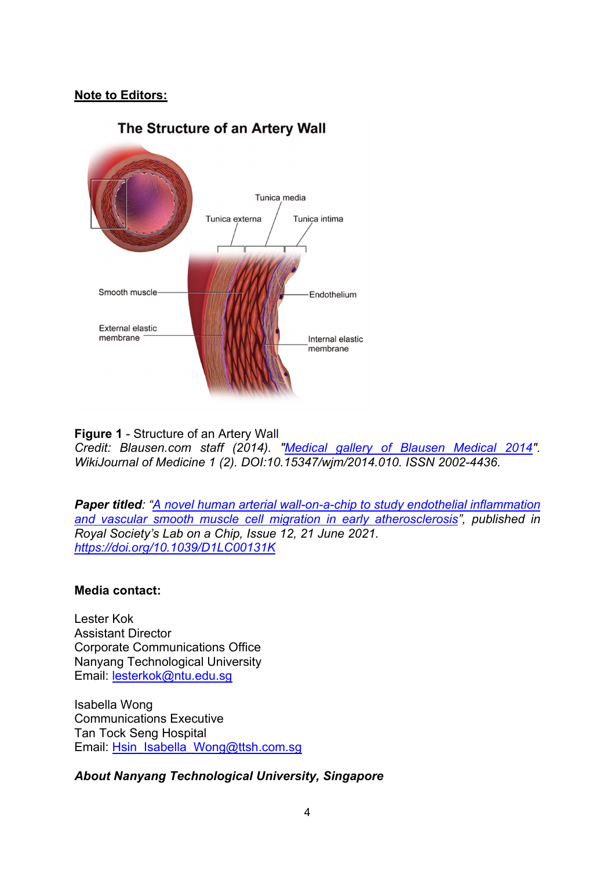### **Note to Editors:**

## The Structure of an Artery Wall



**Figure 1** - Structure of an Artery Wall *Credit: Blausen.com staff (2014). "Medical gallery of Blausen Medical 2014". WikiJournal of Medicine 1 (2). DOI:10.15347/wjm/2014.010. ISSN 2002-4436.* 

*Paper titled: "A novel human arterial wall-on-a-chip to study endothelial inflammation and vascular smooth muscle cell migration in early atherosclerosis", published in Royal Society's Lab on a Chip, Issue 12, 21 June 2021. https://doi.org/10.1039/D1LC00131K* 

#### **Media contact:**

Lester Kok Assistant Director Corporate Communications Office Nanyang Technological University Email: lesterkok@ntu.edu.sg

Isabella Wong Communications Executive Tan Tock Seng Hospital Email: Hsin\_Isabella\_Wong@ttsh.com.sg

*About Nanyang Technological University, Singapore*